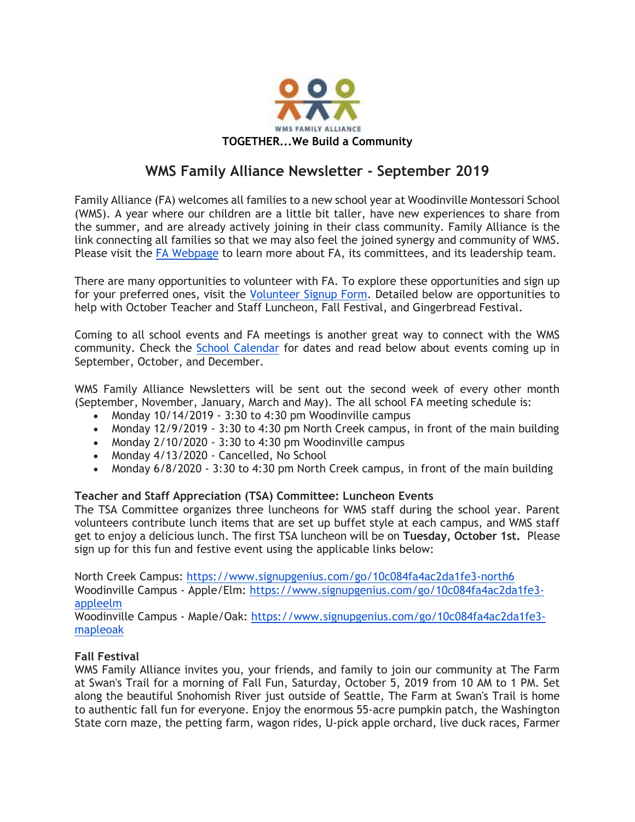

# **WMS Family Alliance Newsletter - September 2019**

Family Alliance (FA) welcomes all families to a new school year at Woodinville Montessori School (WMS). A year where our children are a little bit taller, have new experiences to share from the summer, and are already actively joining in their class community. Family Alliance is the link connecting all families so that we may also feel the joined synergy and community of WMS. Please visit the [FA Webpage](https://www.woodinvillemontessori.org/fa-committees/) to learn more about FA, its committees, and its leadership team.

There are many opportunities to volunteer with FA. To explore these opportunities and sign up for your preferred ones, visit the [Volunteer Signup Form.](https://forms.gle/FaUat2abBxh9difw7) Detailed below are opportunities to help with October Teacher and Staff Luncheon, Fall Festival, and Gingerbread Festival.

Coming to all school events and FA meetings is another great way to connect with the WMS community. Check the [School Calendar](https://www.woodinvillemontessori.org/calendar/) for dates and read below about events coming up in September, October, and December.

WMS Family Alliance Newsletters will be sent out the second week of every other month (September, November, January, March and May). The all school FA meeting schedule is:

- Monday 10/14/2019 3:30 to 4:30 pm Woodinville campus
- Monday 12/9/2019 3:30 to 4:30 pm North Creek campus, in front of the main building
- Monday  $2/10/2020 3:30$  to 4:30 pm Woodinville campus
- Monday 4/13/2020 Cancelled, No School
- Monday 6/8/2020 3:30 to 4:30 pm North Creek campus, in front of the main building

## **Teacher and Staff Appreciation (TSA) Committee: Luncheon Events**

The TSA Committee organizes three luncheons for WMS staff during the school year. Parent volunteers contribute lunch items that are set up buffet style at each campus, and WMS staff get to enjoy a delicious lunch. The first TSA luncheon will be on **Tuesday, October 1st.** Please sign up for this fun and festive event using the applicable links below:

North Creek Campus:<https://www.signupgenius.com/go/10c084fa4ac2da1fe3-north6> Woodinville Campus - Apple/Elm: [https://www.signupgenius.com/go/10c084fa4ac2da1fe3](https://www.signupgenius.com/go/10c084fa4ac2da1fe3-appleelm) [appleelm](https://www.signupgenius.com/go/10c084fa4ac2da1fe3-appleelm)

Woodinville Campus - Maple/Oak: [https://www.signupgenius.com/go/10c084fa4ac2da1fe3](https://www.signupgenius.com/go/10c084fa4ac2da1fe3-mapleoak) [mapleoak](https://www.signupgenius.com/go/10c084fa4ac2da1fe3-mapleoak)

## **Fall Festival**

WMS Family Alliance invites you, your friends, and family to join our community at The Farm at Swan's Trail for a morning of Fall Fun, Saturday, October 5, 2019 from 10 AM to 1 PM. Set along the beautiful Snohomish River just outside of Seattle, The Farm at Swan's Trail is home to authentic fall fun for everyone. Enjoy the enormous 55-acre pumpkin patch, the Washington State corn maze, the petting farm, wagon rides, U-pick apple orchard, live duck races, Farmer